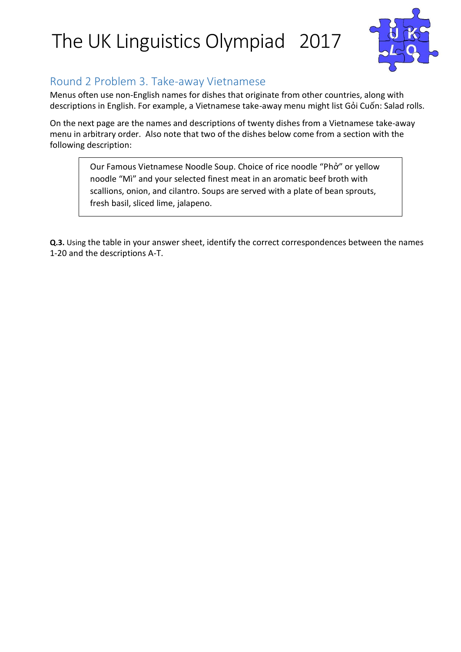

#### Round 2 Problem 3. Take-away Vietnamese

Menus often use non-English names for dishes that originate from other countries, along with descriptions in English. For example, a Vietnamese take-away menu might list Gỏi Cuốn: Salad rolls.

On the next page are the names and descriptions of twenty dishes from a Vietnamese take-away menu in arbitrary order. Also note that two of the dishes below come from a section with the following description:

> Our Famous Vietnamese Noodle Soup. Choice of rice noodle "Phở" or yellow noodle "Mì" and your selected finest meat in an aromatic beef broth with scallions, onion, and cilantro. Soups are served with a plate of bean sprouts, fresh basil, sliced lime, jalapeno.

**Q.3.** Using the table in your answer sheet, identify the correct correspondences between the names 1-20 and the descriptions A-T.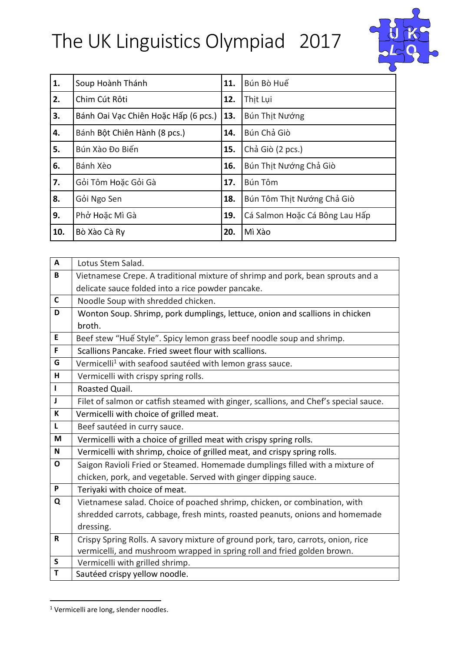

| 1.  | Soup Hoành Thánh                     | 11. | Bún Bò Huế                     |  |  |  |  |
|-----|--------------------------------------|-----|--------------------------------|--|--|--|--|
| 2.  | Chim Cút Rôti                        | 12. | Thịt Lụi                       |  |  |  |  |
| 3.  | Bánh Oai Vạc Chiên Hoặc Hấp (6 pcs.) | 13. | Bún Thịt Nướng                 |  |  |  |  |
| 4.  | Bánh Bột Chiên Hành (8 pcs.)         | 14. | Bún Chả Giò                    |  |  |  |  |
| 5.  | Bún Xào Đo Biến                      | 15. | Chả Giò (2 pcs.)               |  |  |  |  |
| 6.  | Bánh Xèo                             | 16. | Bún Thịt Nướng Chả Giò         |  |  |  |  |
| 7.  | Gỏi Tôm Hoặc Gỏi Gà                  | 17. | Bún Tôm                        |  |  |  |  |
| 8.  | Gỏi Ngo Sen                          | 18. | Bún Tôm Thịt Nướng Chả Giò     |  |  |  |  |
| 9.  | Phở Hoặc Mì Gà                       | 19. | Cá Salmon Hoặc Cá Bông Lau Hấp |  |  |  |  |
| 10. | Bò Xào Cà Ry                         | 20. | Mì Xào                         |  |  |  |  |

| A            | Lotus Stem Salad.                                                                    |  |  |  |  |  |  |  |
|--------------|--------------------------------------------------------------------------------------|--|--|--|--|--|--|--|
| B            | Vietnamese Crepe. A traditional mixture of shrimp and pork, bean sprouts and a       |  |  |  |  |  |  |  |
|              | delicate sauce folded into a rice powder pancake.                                    |  |  |  |  |  |  |  |
| $\mathsf{C}$ | Noodle Soup with shredded chicken.                                                   |  |  |  |  |  |  |  |
| D            | Wonton Soup. Shrimp, pork dumplings, lettuce, onion and scallions in chicken         |  |  |  |  |  |  |  |
|              | broth.                                                                               |  |  |  |  |  |  |  |
| E            | Beef stew "Huế Style". Spicy lemon grass beef noodle soup and shrimp.                |  |  |  |  |  |  |  |
| F            | Scallions Pancake. Fried sweet flour with scallions.                                 |  |  |  |  |  |  |  |
| G            | Vermicelli <sup>1</sup> with seafood sautéed with lemon grass sauce.                 |  |  |  |  |  |  |  |
| H            | Vermicelli with crispy spring rolls.                                                 |  |  |  |  |  |  |  |
| $\mathbf{I}$ | Roasted Quail.                                                                       |  |  |  |  |  |  |  |
| $\mathbf{J}$ | Filet of salmon or catfish steamed with ginger, scallions, and Chef's special sauce. |  |  |  |  |  |  |  |
| К            | Vermicelli with choice of grilled meat.                                              |  |  |  |  |  |  |  |
| $\mathbf{L}$ | Beef sautéed in curry sauce.                                                         |  |  |  |  |  |  |  |
| M            | Vermicelli with a choice of grilled meat with crispy spring rolls.                   |  |  |  |  |  |  |  |
| N            | Vermicelli with shrimp, choice of grilled meat, and crispy spring rolls.             |  |  |  |  |  |  |  |
| $\mathbf{o}$ | Saigon Ravioli Fried or Steamed. Homemade dumplings filled with a mixture of         |  |  |  |  |  |  |  |
|              | chicken, pork, and vegetable. Served with ginger dipping sauce.                      |  |  |  |  |  |  |  |
| P            | Teriyaki with choice of meat.                                                        |  |  |  |  |  |  |  |
| Q            | Vietnamese salad. Choice of poached shrimp, chicken, or combination, with            |  |  |  |  |  |  |  |
|              | shredded carrots, cabbage, fresh mints, roasted peanuts, onions and homemade         |  |  |  |  |  |  |  |
|              | dressing.                                                                            |  |  |  |  |  |  |  |
| R            | Crispy Spring Rolls. A savory mixture of ground pork, taro, carrots, onion, rice     |  |  |  |  |  |  |  |
|              | vermicelli, and mushroom wrapped in spring roll and fried golden brown.              |  |  |  |  |  |  |  |
| S            | Vermicelli with grilled shrimp.                                                      |  |  |  |  |  |  |  |
| T            | Sautéed crispy yellow noodle.                                                        |  |  |  |  |  |  |  |

<sup>&</sup>lt;sup>1</sup> Vermicelli are long, slender noodles.

 $\overline{a}$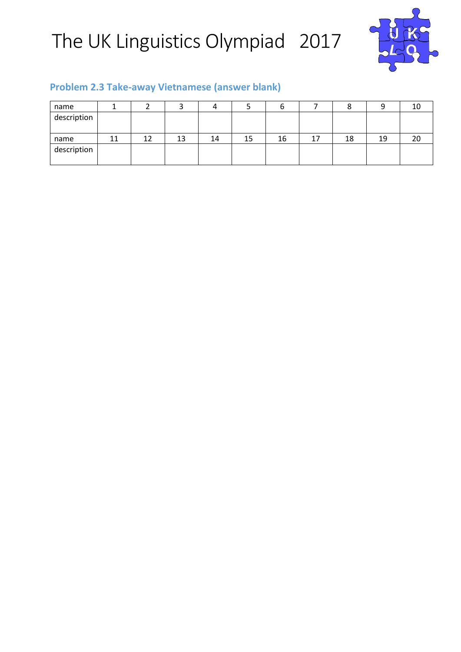

#### **Problem 2.3 Take-away Vietnamese (answer blank)**

| name        |    |    |    |    |    |    |    |    |    | 10 |
|-------------|----|----|----|----|----|----|----|----|----|----|
| description |    |    |    |    |    |    |    |    |    |    |
|             |    |    |    |    |    |    |    |    |    |    |
| name        | 11 | 12 | 13 | 14 | 15 | 16 | 17 | 18 | 19 | 20 |
| description |    |    |    |    |    |    |    |    |    |    |
|             |    |    |    |    |    |    |    |    |    |    |